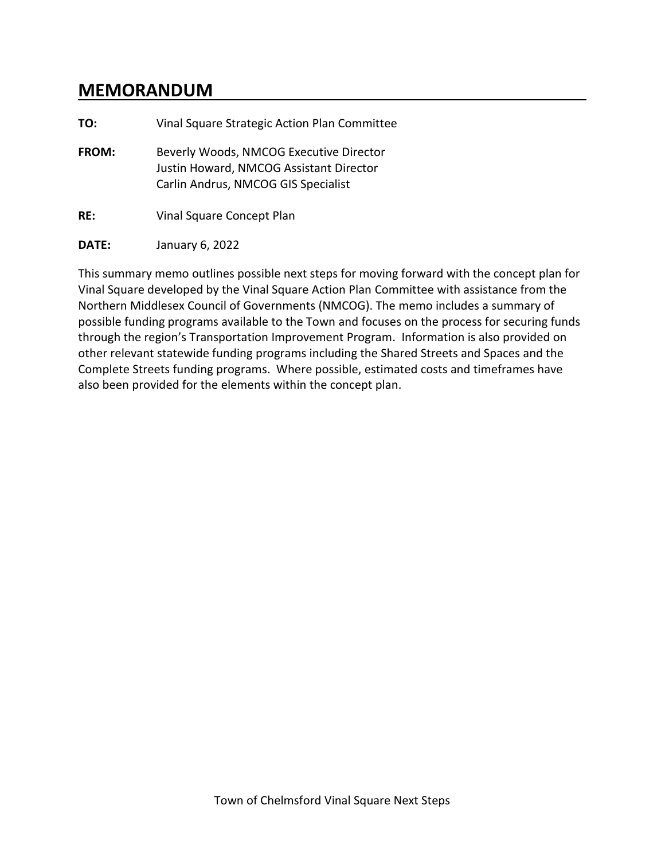# **MEMORANDUM**

| TO:   | Vinal Square Strategic Action Plan Committee                                                                              |  |  |
|-------|---------------------------------------------------------------------------------------------------------------------------|--|--|
| FROM: | Beverly Woods, NMCOG Executive Director<br>Justin Howard, NMCOG Assistant Director<br>Carlin Andrus, NMCOG GIS Specialist |  |  |
| RE:   | Vinal Square Concept Plan                                                                                                 |  |  |
| DATE: | January 6, 2022                                                                                                           |  |  |

This summary memo outlines possible next steps for moving forward with the concept plan for Vinal Square developed by the Vinal Square Action Plan Committee with assistance from the Northern Middlesex Council of Governments (NMCOG). The memo includes a summary of possible funding programs available to the Town and focuses on the process for securing funds through the region's Transportation Improvement Program. Information is also provided on other relevant statewide funding programs including the Shared Streets and Spaces and the Complete Streets funding programs. Where possible, estimated costs and timeframes have also been provided for the elements within the concept plan.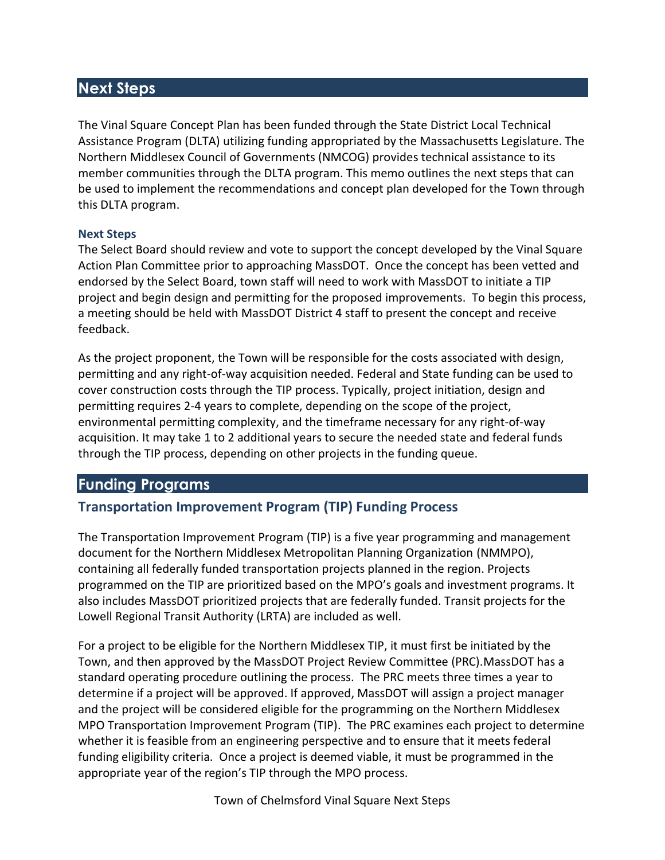## **Next Steps**

The Vinal Square Concept Plan has been funded through the State District Local Technical Assistance Program (DLTA) utilizing funding appropriated by the Massachusetts Legislature. The Northern Middlesex Council of Governments (NMCOG) provides technical assistance to its member communities through the DLTA program. This memo outlines the next steps that can be used to implement the recommendations and concept plan developed for the Town through this DLTA program.

#### **Next Steps**

The Select Board should review and vote to support the concept developed by the Vinal Square Action Plan Committee prior to approaching MassDOT. Once the concept has been vetted and endorsed by the Select Board, town staff will need to work with MassDOT to initiate a TIP project and begin design and permitting for the proposed improvements. To begin this process, a meeting should be held with MassDOT District 4 staff to present the concept and receive feedback.

As the project proponent, the Town will be responsible for the costs associated with design, permitting and any right-of-way acquisition needed. Federal and State funding can be used to cover construction costs through the TIP process. Typically, project initiation, design and permitting requires 2-4 years to complete, depending on the scope of the project, environmental permitting complexity, and the timeframe necessary for any right-of-way acquisition. It may take 1 to 2 additional years to secure the needed state and federal funds through the TIP process, depending on other projects in the funding queue.

## **Funding Programs**

## **Transportation Improvement Program (TIP) Funding Process**

The Transportation Improvement Program (TIP) is a five year programming and management document for the Northern Middlesex Metropolitan Planning Organization (NMMPO), containing all federally funded transportation projects planned in the region. Projects programmed on the TIP are prioritized based on the MPO's goals and investment programs. It also includes MassDOT prioritized projects that are federally funded. Transit projects for the Lowell Regional Transit Authority (LRTA) are included as well.

For a project to be eligible for the Northern Middlesex TIP, it must first be initiated by the Town, and then approved by the MassDOT Project Review Committee (PRC).MassDOT has a standard operating procedure outlining the process. The PRC meets three times a year to determine if a project will be approved. If approved, MassDOT will assign a project manager and the project will be considered eligible for the programming on the Northern Middlesex MPO Transportation Improvement Program (TIP). The PRC examines each project to determine whether it is feasible from an engineering perspective and to ensure that it meets federal funding eligibility criteria. Once a project is deemed viable, it must be programmed in the appropriate year of the region's TIP through the MPO process.

Town of Chelmsford Vinal Square Next Steps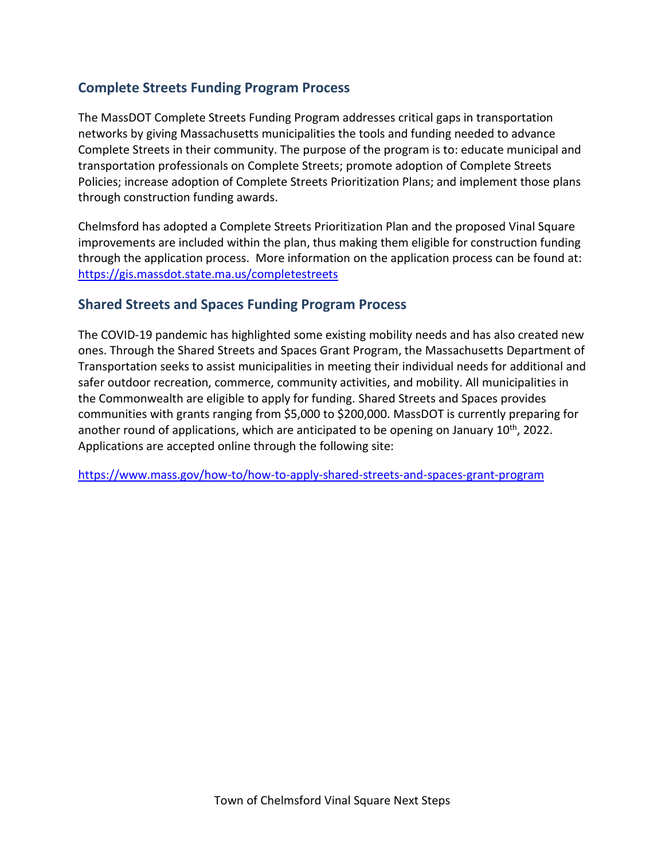#### **Complete Streets Funding Program Process**

The MassDOT Complete Streets Funding Program addresses critical gaps in transportation networks by giving Massachusetts municipalities the tools and funding needed to advance Complete Streets in their community. The purpose of the program is to: educate municipal and transportation professionals on Complete Streets; promote adoption of Complete Streets Policies; increase adoption of Complete Streets Prioritization Plans; and implement those plans through construction funding awards.

Chelmsford has adopted a Complete Streets Prioritization Plan and the proposed Vinal Square improvements are included within the plan, thus making them eligible for construction funding through the application process. More information on the application process can be found at: <https://gis.massdot.state.ma.us/completestreets>

#### **Shared Streets and Spaces Funding Program Process**

The COVID-19 pandemic has highlighted some existing mobility needs and has also created new ones. Through the Shared Streets and Spaces Grant Program, the Massachusetts Department of Transportation seeks to assist municipalities in meeting their individual needs for additional and safer outdoor recreation, commerce, community activities, and mobility. All municipalities in the Commonwealth are eligible to apply for funding. Shared Streets and Spaces provides communities with grants ranging from \$5,000 to \$200,000. MassDOT is currently preparing for another round of applications, which are anticipated to be opening on January  $10<sup>th</sup>$ , 2022. Applications are accepted online through the following site:

<https://www.mass.gov/how-to/how-to-apply-shared-streets-and-spaces-grant-program>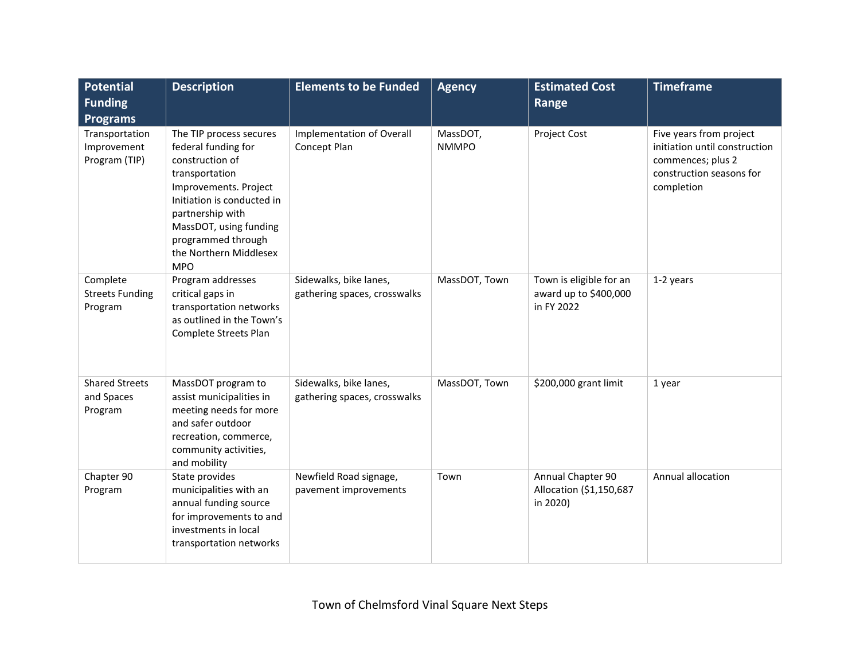| <b>Potential</b><br><b>Funding</b>                                | <b>Description</b>                                                                                                                                                                                                                                     | <b>Elements to be Funded</b>                           | <b>Agency</b>            | <b>Estimated Cost</b><br>Range                                 | <b>Timeframe</b>                                                                                                        |
|-------------------------------------------------------------------|--------------------------------------------------------------------------------------------------------------------------------------------------------------------------------------------------------------------------------------------------------|--------------------------------------------------------|--------------------------|----------------------------------------------------------------|-------------------------------------------------------------------------------------------------------------------------|
| <b>Programs</b><br>Transportation<br>Improvement<br>Program (TIP) | The TIP process secures<br>federal funding for<br>construction of<br>transportation<br>Improvements. Project<br>Initiation is conducted in<br>partnership with<br>MassDOT, using funding<br>programmed through<br>the Northern Middlesex<br><b>MPO</b> | Implementation of Overall<br>Concept Plan              | MassDOT,<br><b>NMMPO</b> | Project Cost                                                   | Five years from project<br>initiation until construction<br>commences; plus 2<br>construction seasons for<br>completion |
| Complete<br><b>Streets Funding</b><br>Program                     | Program addresses<br>critical gaps in<br>transportation networks<br>as outlined in the Town's<br>Complete Streets Plan                                                                                                                                 | Sidewalks, bike lanes,<br>gathering spaces, crosswalks | MassDOT, Town            | Town is eligible for an<br>award up to \$400,000<br>in FY 2022 | 1-2 years                                                                                                               |
| <b>Shared Streets</b><br>and Spaces<br>Program                    | MassDOT program to<br>assist municipalities in<br>meeting needs for more<br>and safer outdoor<br>recreation, commerce,<br>community activities,<br>and mobility                                                                                        | Sidewalks, bike lanes,<br>gathering spaces, crosswalks | MassDOT, Town            | \$200,000 grant limit                                          | 1 year                                                                                                                  |
| Chapter 90<br>Program                                             | State provides<br>municipalities with an<br>annual funding source<br>for improvements to and<br>investments in local<br>transportation networks                                                                                                        | Newfield Road signage,<br>pavement improvements        | Town                     | Annual Chapter 90<br>Allocation (\$1,150,687<br>in 2020)       | Annual allocation                                                                                                       |